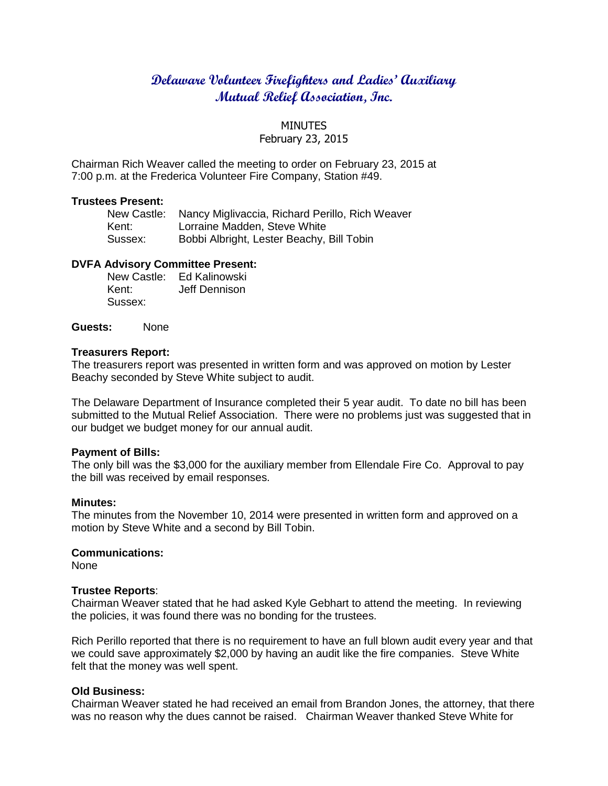# **Delaware Volunteer Firefighters and Ladies' Auxiliary Mutual Relief Association, Inc.**

### MINUTES

# February 23, 2015

Chairman Rich Weaver called the meeting to order on February 23, 2015 at 7:00 p.m. at the Frederica Volunteer Fire Company, Station #49.

#### **Trustees Present:**

|         | New Castle: Nancy Miglivaccia, Richard Perillo, Rich Weaver |
|---------|-------------------------------------------------------------|
| Kent:   | Lorraine Madden, Steve White                                |
| Sussex: | Bobbi Albright, Lester Beachy, Bill Tobin                   |

## **DVFA Advisory Committee Present:**

New Castle: Ed Kalinowski Kent: Jeff Dennison Sussex:

**Guests:** None

### **Treasurers Report:**

The treasurers report was presented in written form and was approved on motion by Lester Beachy seconded by Steve White subject to audit.

The Delaware Department of Insurance completed their 5 year audit. To date no bill has been submitted to the Mutual Relief Association. There were no problems just was suggested that in our budget we budget money for our annual audit.

### **Payment of Bills:**

The only bill was the \$3,000 for the auxiliary member from Ellendale Fire Co. Approval to pay the bill was received by email responses.

### **Minutes:**

The minutes from the November 10, 2014 were presented in written form and approved on a motion by Steve White and a second by Bill Tobin.

### **Communications:**

None

#### **Trustee Reports**:

Chairman Weaver stated that he had asked Kyle Gebhart to attend the meeting. In reviewing the policies, it was found there was no bonding for the trustees.

Rich Perillo reported that there is no requirement to have an full blown audit every year and that we could save approximately \$2,000 by having an audit like the fire companies. Steve White felt that the money was well spent.

### **Old Business:**

Chairman Weaver stated he had received an email from Brandon Jones, the attorney, that there was no reason why the dues cannot be raised. Chairman Weaver thanked Steve White for